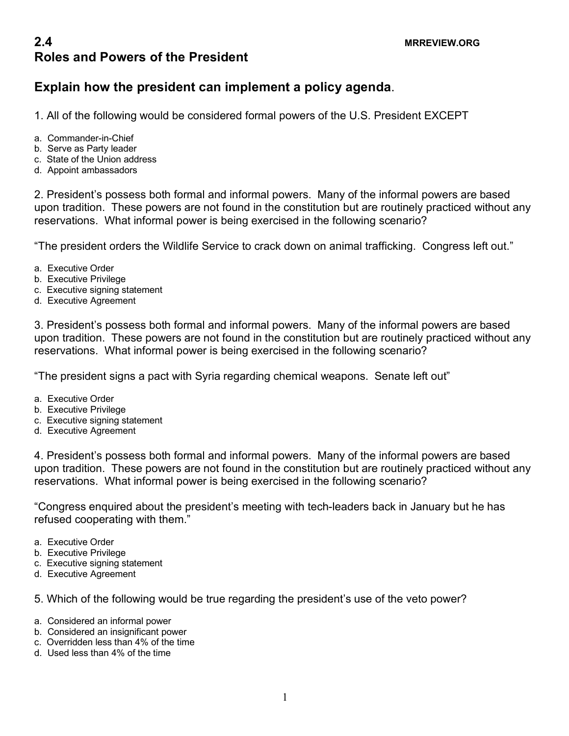## **Explain how the president can implement a policy agenda**.

1. All of the following would be considered formal powers of the U.S. President EXCEPT

- a. Commander-in-Chief
- b. Serve as Party leader
- c. State of the Union address
- d. Appoint ambassadors

2. President's possess both formal and informal powers. Many of the informal powers are based upon tradition. These powers are not found in the constitution but are routinely practiced without any reservations. What informal power is being exercised in the following scenario?

"The president orders the Wildlife Service to crack down on animal trafficking. Congress left out."

- a. Executive Order
- b. Executive Privilege
- c. Executive signing statement
- d. Executive Agreement

3. President's possess both formal and informal powers. Many of the informal powers are based upon tradition. These powers are not found in the constitution but are routinely practiced without any reservations. What informal power is being exercised in the following scenario?

"The president signs a pact with Syria regarding chemical weapons. Senate left out"

- a. Executive Order
- b. Executive Privilege
- c. Executive signing statement
- d. Executive Agreement

4. President's possess both formal and informal powers. Many of the informal powers are based upon tradition. These powers are not found in the constitution but are routinely practiced without any reservations. What informal power is being exercised in the following scenario?

"Congress enquired about the president's meeting with tech-leaders back in January but he has refused cooperating with them."

- a. Executive Order
- b. Executive Privilege
- c. Executive signing statement
- d. Executive Agreement

5. Which of the following would be true regarding the president's use of the veto power?

- a. Considered an informal power
- b. Considered an insignificant power
- c. Overridden less than 4% of the time
- d. Used less than 4% of the time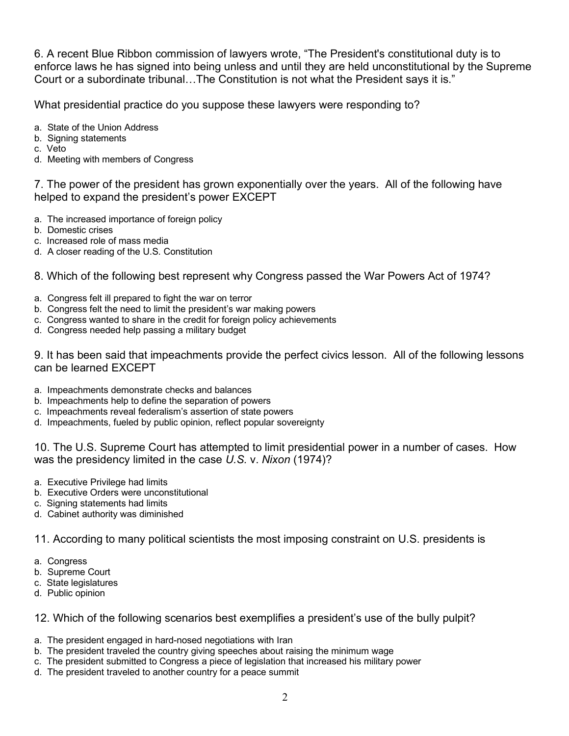6. A recent Blue Ribbon commission of lawyers wrote, "The President's constitutional duty is to enforce laws he has signed into being unless and until they are held unconstitutional by the Supreme Court or a subordinate tribunal…The Constitution is not what the President says it is."

What presidential practice do you suppose these lawyers were responding to?

- a. State of the Union Address
- b. Signing statements
- c. Veto
- d. Meeting with members of Congress

7. The power of the president has grown exponentially over the years. All of the following have helped to expand the president's power EXCEPT

- a. The increased importance of foreign policy
- b. Domestic crises
- c. Increased role of mass media
- d. A closer reading of the U.S. Constitution

8. Which of the following best represent why Congress passed the War Powers Act of 1974?

- a. Congress felt ill prepared to fight the war on terror
- b. Congress felt the need to limit the president's war making powers
- c. Congress wanted to share in the credit for foreign policy achievements
- d. Congress needed help passing a military budget

9. It has been said that impeachments provide the perfect civics lesson. All of the following lessons can be learned EXCEPT

- a. Impeachments demonstrate checks and balances
- b. Impeachments help to define the separation of powers
- c. Impeachments reveal federalism's assertion of state powers
- d. Impeachments, fueled by public opinion, reflect popular sovereignty

10. The U.S. Supreme Court has attempted to limit presidential power in a number of cases. How was the presidency limited in the case *U.S.* v. *Nixon* (1974)?

- a. Executive Privilege had limits
- b. Executive Orders were unconstitutional
- c. Signing statements had limits
- d. Cabinet authority was diminished

11. According to many political scientists the most imposing constraint on U.S. presidents is

- a. Congress
- b. Supreme Court
- c. State legislatures
- d. Public opinion

## 12. Which of the following scenarios best exemplifies a president's use of the bully pulpit?

- a. The president engaged in hard-nosed negotiations with Iran
- b. The president traveled the country giving speeches about raising the minimum wage
- c. The president submitted to Congress a piece of legislation that increased his military power
- d. The president traveled to another country for a peace summit